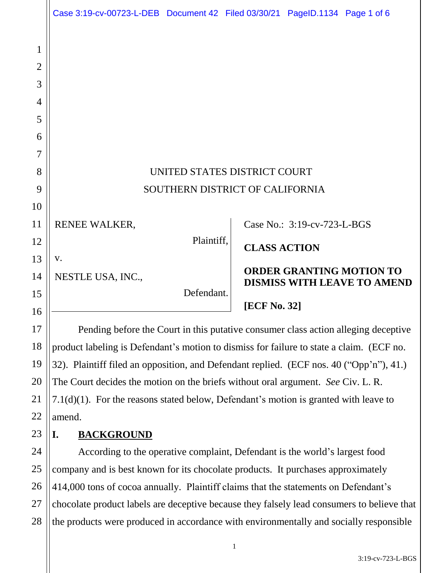|                                                       | Case 3:19-cv-00723-L-DEB Document 42 Filed 03/30/21 PageID.1134 Page 1 of 6        |            |                     |                             |                                                                       |
|-------------------------------------------------------|------------------------------------------------------------------------------------|------------|---------------------|-----------------------------|-----------------------------------------------------------------------|
| $\mathbf{1}$<br>$\overline{2}$<br>3<br>$\overline{4}$ |                                                                                    |            |                     |                             |                                                                       |
| 5<br>6                                                |                                                                                    |            |                     |                             |                                                                       |
| $\overline{7}$                                        |                                                                                    |            |                     |                             |                                                                       |
| 8                                                     | UNITED STATES DISTRICT COURT                                                       |            |                     |                             |                                                                       |
| 9                                                     | SOUTHERN DISTRICT OF CALIFORNIA                                                    |            |                     |                             |                                                                       |
| 10                                                    |                                                                                    |            |                     |                             |                                                                       |
| 11                                                    | RENEE WALKER,                                                                      |            |                     | Case No.: 3:19-cv-723-L-BGS |                                                                       |
| 12                                                    |                                                                                    | Plaintiff, | <b>CLASS ACTION</b> |                             |                                                                       |
| 13                                                    | V.                                                                                 |            |                     |                             |                                                                       |
| 14                                                    | NESTLE USA, INC.,                                                                  |            |                     |                             | <b>ORDER GRANTING MOTION TO</b><br><b>DISMISS WITH LEAVE TO AMEND</b> |
| 15                                                    |                                                                                    | Defendant. |                     |                             |                                                                       |
| 16                                                    |                                                                                    |            | [ECF No. 32]        |                             |                                                                       |
| 17                                                    | Pending before the Court in this putative consumer class action alleging deceptive |            |                     |                             |                                                                       |

Pending before the Court in this putative consumer class action alleging deceptive product labeling is Defendant's motion to dismiss for failure to state a claim. (ECF no. 32). Plaintiff filed an opposition, and Defendant replied. (ECF nos. 40 ("Opp'n"), 41.) The Court decides the motion on the briefs without oral argument. *See* Civ. L. R. 7.1(d)(1). For the reasons stated below, Defendant's motion is granted with leave to amend.

23

24

25

26

27

28

18

19

20

21

22

## **I. BACKGROUND**

According to the operative complaint, Defendant is the world's largest food company and is best known for its chocolate products. It purchases approximately 414,000 tons of cocoa annually. Plaintiff claims that the statements on Defendant's chocolate product labels are deceptive because they falsely lead consumers to believe that the products were produced in accordance with environmentally and socially responsible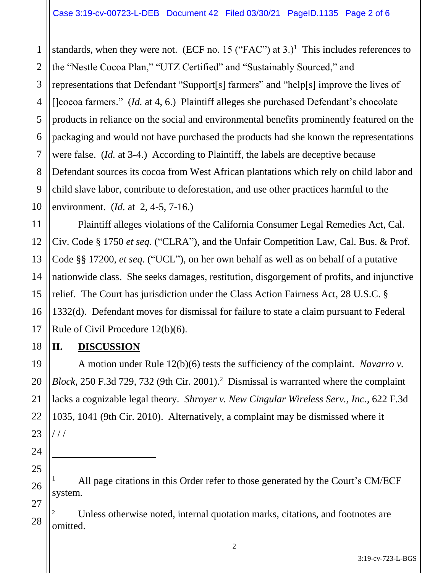1 2 3 4 5 6 7 8 9 10 standards, when they were not. (ECF no. 15 ("FAC") at  $3.$ )<sup>1</sup> This includes references to the "Nestle Cocoa Plan," "UTZ Certified" and "Sustainably Sourced," and representations that Defendant "Support[s] farmers" and "help[s] improve the lives of []cocoa farmers." *(Id. at 4, 6.)* Plaintiff alleges she purchased Defendant's chocolate products in reliance on the social and environmental benefits prominently featured on the packaging and would not have purchased the products had she known the representations were false. (*Id.* at 3-4.) According to Plaintiff, the labels are deceptive because Defendant sources its cocoa from West African plantations which rely on child labor and child slave labor, contribute to deforestation, and use other practices harmful to the environment. (*Id.* at 2, 4-5, 7-16.)

Plaintiff alleges violations of the California Consumer Legal Remedies Act, Cal. Civ. Code § 1750 *et seq.* ("CLRA"), and the Unfair Competition Law, Cal. Bus. & Prof. Code §§ 17200, *et seq.* ("UCL"), on her own behalf as well as on behalf of a putative nationwide class. She seeks damages, restitution, disgorgement of profits, and injunctive relief. The Court has jurisdiction under the Class Action Fairness Act, 28 U.S.C. § 1332(d). Defendant moves for dismissal for failure to state a claim pursuant to Federal Rule of Civil Procedure 12(b)(6).

## **II. DISCUSSION**

11

12

13

14

15

16

17

18

19

20

21

22

23

24

 $\ddot{ }$ 

25

26

27

28

A motion under Rule 12(b)(6) tests the sufficiency of the complaint. *Navarro v.*  Block, 250 F.3d 729, 732 (9th Cir. 2001).<sup>2</sup> Dismissal is warranted where the complaint lacks a cognizable legal theory. *Shroyer v. New Cingular Wireless Serv., Inc.*, 622 F.3d 1035, 1041 (9th Cir. 2010). Alternatively, a complaint may be dismissed where it  $1/1$ 

<sup>2</sup> Unless otherwise noted, internal quotation marks, citations, and footnotes are omitted.

All page citations in this Order refer to those generated by the Court's CM/ECF system.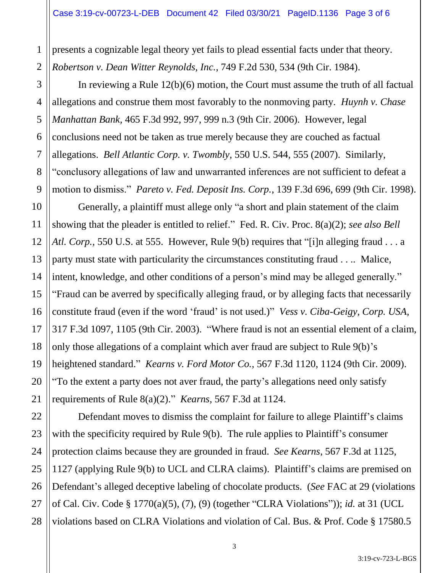presents a cognizable legal theory yet fails to plead essential facts under that theory. *Robertson v. Dean Witter Reynolds, Inc.*, 749 F.2d 530, 534 (9th Cir. 1984).

1

2

3

4

5

6

7

8

9

11

12

14

15

17

18

19

20

21

In reviewing a Rule 12(b)(6) motion, the Court must assume the truth of all factual allegations and construe them most favorably to the nonmoving party. *Huynh v. Chase Manhattan Bank*, 465 F.3d 992, 997, 999 n.3 (9th Cir. 2006). However, legal conclusions need not be taken as true merely because they are couched as factual allegations. *Bell Atlantic Corp. v. Twombly*, 550 U.S. 544, 555 (2007). Similarly, "conclusory allegations of law and unwarranted inferences are not sufficient to defeat a motion to dismiss." *Pareto v. Fed. Deposit Ins. Corp.*, 139 F.3d 696, 699 (9th Cir. 1998).

10 13 16 Generally, a plaintiff must allege only "a short and plain statement of the claim showing that the pleader is entitled to relief." Fed. R. Civ. Proc. 8(a)(2); *see also Bell Atl. Corp.,* 550 U.S. at 555. However, Rule 9(b) requires that "[i]n alleging fraud . . . a party must state with particularity the circumstances constituting fraud . . .. Malice, intent, knowledge, and other conditions of a person's mind may be alleged generally." "Fraud can be averred by specifically alleging fraud, or by alleging facts that necessarily constitute fraud (even if the word 'fraud' is not used.)" *Vess v. Ciba-Geigy, Corp. USA,*  317 F.3d 1097, 1105 (9th Cir. 2003). "Where fraud is not an essential element of a claim, only those allegations of a complaint which aver fraud are subject to Rule 9(b)'s heightened standard." *Kearns v. Ford Motor Co.*, 567 F.3d 1120, 1124 (9th Cir. 2009). "To the extent a party does not aver fraud, the party's allegations need only satisfy requirements of Rule 8(a)(2)." *Kearns*, 567 F.3d at 1124.

22 23 24 25 26 27 28 Defendant moves to dismiss the complaint for failure to allege Plaintiff's claims with the specificity required by Rule 9(b). The rule applies to Plaintiff's consumer protection claims because they are grounded in fraud. *See Kearns*, 567 F.3d at 1125, 1127 (applying Rule 9(b) to UCL and CLRA claims). Plaintiff's claims are premised on Defendant's alleged deceptive labeling of chocolate products. (*See* FAC at 29 (violations of Cal. Civ. Code § 1770(a)(5), (7), (9) (together "CLRA Violations")); *id.* at 31 (UCL violations based on CLRA Violations and violation of Cal. Bus. & Prof. Code § 17580.5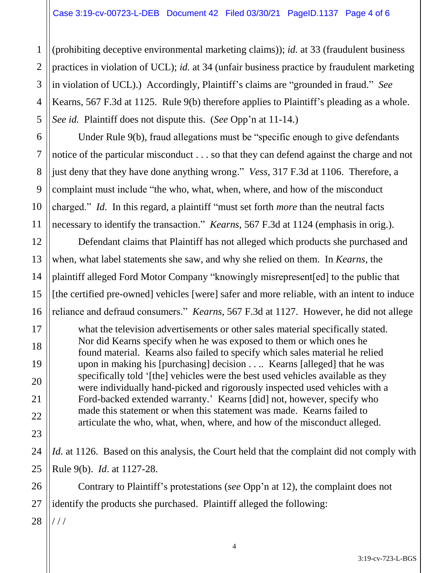4 (prohibiting deceptive environmental marketing claims)); *id.* at 33 (fraudulent business practices in violation of UCL); *id.* at 34 (unfair business practice by fraudulent marketing in violation of UCL).) Accordingly, Plaintiff's claims are "grounded in fraud." *See*  Kearns, 567 F.3d at 1125. Rule 9(b) therefore applies to Plaintiff's pleading as a whole. *See id.* Plaintiff does not dispute this. (*See* Opp'n at 11-14.)

Under Rule 9(b), fraud allegations must be "specific enough to give defendants notice of the particular misconduct . . . so that they can defend against the charge and not just deny that they have done anything wrong." *Vess,* 317 F.3d at 1106. Therefore, a complaint must include "the who, what, when, where, and how of the misconduct charged." *Id.* In this regard, a plaintiff "must set forth *more* than the neutral facts necessary to identify the transaction." *Kearns*, 567 F.3d at 1124 (emphasis in orig.).

Defendant claims that Plaintiff has not alleged which products she purchased and when, what label statements she saw, and why she relied on them. In *Kearns*, the plaintiff alleged Ford Motor Company "knowingly misrepresent[ed] to the public that [the certified pre-owned] vehicles [were] safer and more reliable, with an intent to induce reliance and defraud consumers." *Kearns*, 567 F.3d at 1127. However, he did not allege

what the television advertisements or other sales material specifically stated. Nor did Kearns specify when he was exposed to them or which ones he found material. Kearns also failed to specify which sales material he relied upon in making his [purchasing] decision . . .. Kearns [alleged] that he was specifically told '[the] vehicles were the best used vehicles available as they were individually hand-picked and rigorously inspected used vehicles with a Ford-backed extended warranty.' Kearns [did] not, however, specify who made this statement or when this statement was made. Kearns failed to articulate the who, what, when, where, and how of the misconduct alleged.

24 25 *Id.* at 1126. Based on this analysis, the Court held that the complaint did not comply with Rule 9(b). *Id*. at 1127-28.

Contrary to Plaintiff's protestations (*see* Opp'n at 12), the complaint does not identify the products she purchased. Plaintiff alleged the following:

28 / / /

1

2

3

5

6

7

8

9

10

11

12

13

14

15

16

17

18

19

20

21

22

23

26

27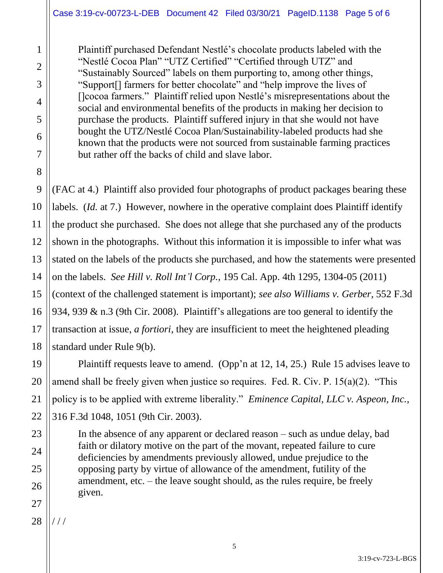Plaintiff purchased Defendant Nestlé's chocolate products labeled with the "Nestlé Cocoa Plan" "UTZ Certified" "Certified through UTZ" and "Sustainably Sourced" labels on them purporting to, among other things, "Support[] farmers for better chocolate" and "help improve the lives of []cocoa farmers." Plaintiff relied upon Nestlé's misrepresentations about the social and environmental benefits of the products in making her decision to purchase the products. Plaintiff suffered injury in that she would not have bought the UTZ/Nestlé Cocoa Plan/Sustainability-labeled products had she known that the products were not sourced from sustainable farming practices but rather off the backs of child and slave labor.

(FAC at 4.) Plaintiff also provided four photographs of product packages bearing these labels. (*Id.* at 7.) However, nowhere in the operative complaint does Plaintiff identify the product she purchased. She does not allege that she purchased any of the products shown in the photographs. Without this information it is impossible to infer what was stated on the labels of the products she purchased, and how the statements were presented on the labels. *See Hill v. Roll Int'l Corp.*, 195 Cal. App. 4th 1295, 1304-05 (2011) (context of the challenged statement is important); *see also Williams v. Gerber,* 552 F.3d 934, 939 & n.3 (9th Cir. 2008). Plaintiff's allegations are too general to identify the transaction at issue, *a fortiori*, they are insufficient to meet the heightened pleading standard under Rule 9(b).

Plaintiff requests leave to amend. (Opp'n at 12, 14, 25.) Rule 15 advises leave to amend shall be freely given when justice so requires. Fed. R. Civ. P. 15(a)(2). "This policy is to be applied with extreme liberality." *Eminence Capital, LLC v. Aspeon, Inc.*, 316 F.3d 1048, 1051 (9th Cir. 2003).

In the absence of any apparent or declared reason – such as undue delay, bad faith or dilatory motive on the part of the movant, repeated failure to cure deficiencies by amendments previously allowed, undue prejudice to the opposing party by virtue of allowance of the amendment, futility of the amendment, etc. – the leave sought should, as the rules require, be freely given.

28 / / /

1

2

3

4

5

6

7

8

9

10

11

12

13

14

15

16

17

18

19

20

21

22

23

24

25

26

27